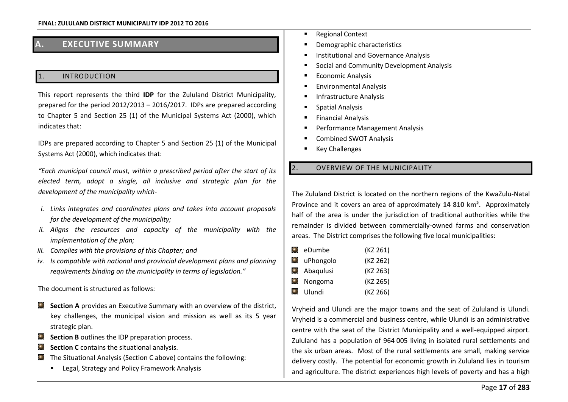# **A. EXECUTIVE SUMMARY**

### **INTRODUCTION**

This report represents the third **IDP** for the Zululand District Municipality, prepared for the period  $2012/2013 - 2016/2017$ . IDPs are prepared according to Chapter 5 and Section 25 (1) of the Municipal Systems Act (2000), which indicates that:

IDPs are prepared according to Chapter 5 and Section 25 (1) of the Municipal Systems Act (2000), which indicates that:

"Each municipal council must, within a prescribed period after the start of its *elected term, adopt a single, all inclusive and strategic plan for the development of the municipality which-*

- *i. Links integrates and coordinates plans and takes into account proposals for the development of the municipality;*
- ii. Aligns the resources and capacity of the municipality with the *implementation of the plan;*
- *iii. Complies with the provisions of this Chapter; and*
- *iv. Is compatible with national and provincial development plans and planning*  requirements binding on the municipality in terms of legislation."

The document is structured as follows:

- **Section A** provides an Executive Summary with an overview of the district, key challenges, the municipal vision and mission as well as its 5 year strategic plan.
- **Section B** outlines the IDP preparation process.
- $\bullet$ **Section C** contains the situational analysis.
- The Situational Analysis (Section C above) contains the following:  $\odot$ 
	- **EXEC** Legal, Strategy and Policy Framework Analysis
- Regional Context
- Demographic characteristics
- Institutional and Governance Analysis
- Social and Community Development Analysis
- Economic Analysis
- Environmental Analysis
- Infrastructure Analysis
- Spatial Analysis
- Financial Analysis
- Performance Management Analysis
- Combined SWOT Analysis
- Key Challenges

## 2. OVERVIEW OF THE MUNICIPALITY

The Zululand District is located on the northern regions of the KwaZulu-Natal Province and it covers an area of approximately **14 810 km².** Approximately half of the area is under the jurisdiction of traditional authorities while the remainder is divided between commercially-owned farms and conservation areas. The District comprises the following five local municipalities:

| ۰         | eDumbe              | (KZ 261) |
|-----------|---------------------|----------|
|           | $\bullet$ uPhongolo | (KZ 262) |
|           | $\bullet$ Abaqulusi | (KZ 263) |
| $\bullet$ | Nongoma             | (KZ 265) |
| o         | Ulundi              | (KZ 266) |
|           |                     |          |

Vryheid and Ulundi are the major towns and the seat of Zululand is Ulundi. Vryheid is a commercial and business centre, while Ulundi is an administrative centre with the seat of the District Municipality and a well-equipped airport. Zululand has a population of 964 005 living in isolated rural settlements and the six urban areas. Most of the rural settlements are small, making service delivery costly. The potential for economic growth in Zululand lies in tourism and agriculture. The district experiences high levels of poverty and has a high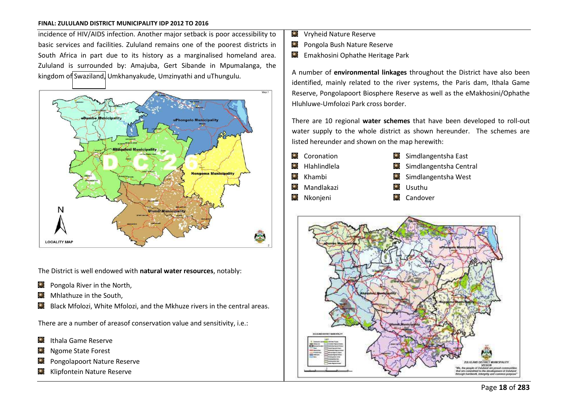incidence of HIV/AIDS infection. Another major setback is poor accessibility to basic services and facilities. Zululand remains one of the poorest districts in South Africa in part due to its history as a marginalised homeland area. Zululand is surrounded by: Amajuba, Gert Sibande in Mpumalanga, the kingdom o[f Swaziland,](http://en.wikipedia.org/wiki/Swaziland) Umkhanyakude, Umzinyathi and uThungulu.



The District is well endowed with **natural water resources**, notably:

- $\Box$  Pongola River in the North,
- $\bullet$ Mhlathuze in the South,
- Black Mfolozi, White Mfolozi, and the Mkhuze rivers in the central areas.

There are a number of areasof conservation value and sensitivity, i.e.:

- **D** Ithala Game Reserve
- Ngome State Forest
- Pongolapoort Nature Reserve
- **C** Klipfontein Nature Reserve
- **O** Vryheid Nature Reserve
- $\left( \bullet \right)$ Pongola Bush Nature Reserve
- Emakhosini Ophathe Heritage Park

A number of **environmental linkages** throughout the District have also been identified, mainly related to the river systems, the Paris dam, Ithala Game Reserve, Pongolapoort Biosphere Reserve as well as the eMakhosini/Ophathe Hluhluwe-Umfolozi Park cross border.

There are 10 regional **water schemes** that have been developed to roll-out water supply to the whole district as shown hereunder. The schemes are listed hereunder and shown on the map herewith:

Coronation  $\bullet$ Hlahlindlela

Khambi **C** Mandlakazi

 $\bigodot$ 

- $\bullet$  Simdlangentsha East
- $\Box$  Simdlangentsha Central
- Simdlangentsha West
- **O** Usuthu
- $\bullet$  Nkonieni
- **C** Candover

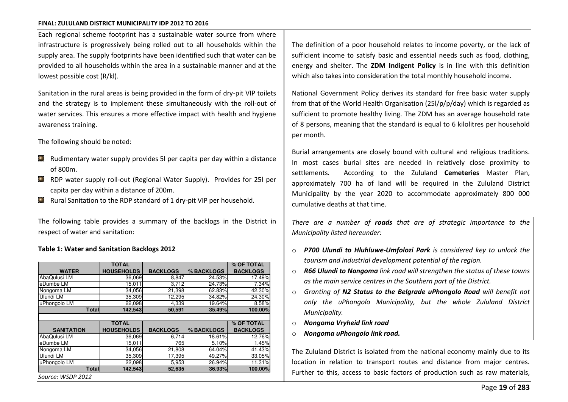Each regional scheme footprint has a sustainable water source from where infrastructure is progressively being rolled out to all households within the supply area. The supply footprints have been identified such that water can be provided to all households within the area in a sustainable manner and at the lowest possible cost (R/kl).

Sanitation in the rural areas is being provided in the form of dry-pit VIP toilets and the strategy is to implement these simultaneously with the roll-out of water services. This ensures a more effective impact with health and hygiene awareness training.

The following should be noted:

- $\Box$  Rudimentary water supply provides 5l per capita per day within a distance of 800m.
- RDP water supply roll-out (Regional Water Supply). Provides for 25l per capita per day within a distance of 200m.
- $\Box$  Rural Sanitation to the RDP standard of 1 dry-pit VIP per household.

The following table provides a summary of the backlogs in the District in respect of water and sanitation:

#### **Table 1: Water and Sanitation Backlogs 2012**

|                   | <b>TOTAL</b>      |                 |            | % OF TOTAL      |
|-------------------|-------------------|-----------------|------------|-----------------|
| <b>WATER</b>      | <b>HOUSEHOLDS</b> | <b>BACKLOGS</b> | % BACKLOGS | <b>BACKLOGS</b> |
| AbaQulusi LM      | 36,069            | 8,847           | 24.53%     | 17.49%          |
| eDumbe LM         | 15,011            | 3,712           | 24.73%     | 7.34%           |
| Nongoma LM        | 34,056            | 21,398          | 62.83%     | 42.30%          |
| Ulundi LM         | 35,309            | 12,295          | 34.82%     | 24.30%          |
| uPhongolo LM      | 22,098            | 4,339           | 19.64%     | 8.58%           |
| <b>Totall</b>     | 142,543           | 50,591          | 35.49%     | 100.00%         |
|                   |                   |                 |            |                 |
|                   |                   |                 |            |                 |
|                   | <b>TOTAL</b>      |                 |            | % OF TOTAL      |
| <b>SANITATION</b> | <b>HOUSEHOLDS</b> | <b>BACKLOGS</b> | % BACKLOGS | <b>BACKLOGS</b> |
| AbaQulusi LM      | 36,069            | 6,714           | 18.61%     | 12.76%          |
| eDumbe LM         | 15,011            | 765             | 5.10%      | 1.45%           |
| Nongoma LM        | 34,056            | 21,808          | 64.04%     | 41.43%          |
| Ulundi LM         | 35,309            | 17,395          | 49.27%     | 33.05%          |
| uPhongolo LM      | 22,098            | 5,953           | 26.94%     | 11.31%          |
| Totall            | 142,543           | 52,635          | 36.93%     | 100.00%         |

The definition of a poor household relates to income poverty, or the lack of sufficient income to satisfy basic and essential needs such as food, clothing, energy and shelter. The **ZDM Indigent Policy** is in line with this definition which also takes into consideration the total monthly household income.

National Government Policy derives its standard for free basic water supply from that of the World Health Organisation (25l/p/p/day) which is regarded as sufficient to promote healthy living. The ZDM has an average household rate of 8 persons, meaning that the standard is equal to 6 kilolitres per household per month.

Burial arrangements are closely bound with cultural and religious traditions. In most cases burial sites are needed in relatively close proximity to settlements. According to the Zululand **Cemeteries** Master Plan, approximately 700 ha of land will be required in the Zululand District Municipality by the year 2020 to accommodate approximately 800 000 cumulative deaths at that time.

*There are a number of roads that are of strategic importance to the Municipality listed hereunder:* 

- o *P700 Ulundi to Hluhluwe-Umfolozi Park is considered key to unlock the tourism and industrial development potential of the region.*
- o *R66 Ulundi to Nongoma link road will strengthen the status of these towns as the main service centres in the Southern part of the District.*
- Granting of **N2 Status to the Belgrade uPhongolo Road** will benefit not *only the uPhongolo Municipality, but the whole Zululand District Municipality.*
- o *Nongoma Vryheid link road*
- o *Nongoma uPhongolo link road.*

The Zululand District is isolated from the national economy mainly due to its location in relation to transport routes and distance from major centres. Further to this, access to basic factors of production such as raw materials,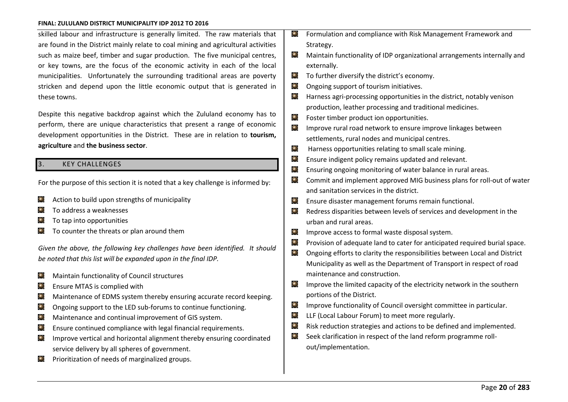skilled labour and infrastructure is generally limited. The raw materials that are found in the District mainly relate to coal mining and agricultural activities such as maize beef, timber and sugar production. The five municipal centres, or key towns, are the focus of the economic activity in each of the local municipalities. Unfortunately the surrounding traditional areas are poverty stricken and depend upon the little economic output that is generated in these towns.

Despite this negative backdrop against which the Zululand economy has to perform, there are unique characteristics that present a range of economic development opportunities in the District. These are in relation to **tourism, agriculture** and **the business sector**.

### **KEY CHALLENGES**

For the purpose of this section it is noted that a key challenge is informed by:

- Action to build upon strengths of municipality  $\bullet$
- To address a weaknesses
- To tap into opportunities
- To counter the threats or plan around them

*Given the above, the following key challenges have been identified. It should be noted that this list will be expanded upon in the final IDP.* 

- Maintain functionality of Council structures  $\left( \bullet \right)$
- $\odot$ Ensure MTAS is complied with
- $\left( \begin{matrix} \bullet \\ \bullet \end{matrix} \right)$ Maintenance of EDMS system thereby ensuring accurate record keeping.
- Ongoing support to the LED sub-forums to continue functioning.  $\bullet$
- $\left( \begin{matrix} 0 \\ 1 \end{matrix} \right)$ Maintenance and continual improvement of GIS system.
- Ensure continued compliance with legal financial requirements. ⊙
- Improve vertical and horizontal alignment thereby ensuring coordinated  $\odot$ service delivery by all spheres of government.
- Prioritization of needs of marginalized groups.  $\left( \bullet \right)$
- Formulation and compliance with Risk Management Framework and Strategy.
- $\bullet$ Maintain functionality of IDP organizational arrangements internally and externally.
- $\odot$ To further diversify the district's economy.
- $\bullet$ Ongoing support of tourism initiatives.
- $\left( \bullet \right)$ Harness agri-processing opportunities in the district, notably venison production, leather processing and traditional medicines.
- $\bullet$ Foster timber product ion opportunities.
- Improve rural road network to ensure improve linkages between  $\odot$ settlements, rural nodes and municipal centres.
- $\bigodot$ Harness opportunities relating to small scale mining.
- $\bigodot$ Ensure indigent policy remains updated and relevant.
- Ensuring ongoing monitoring of water balance in rural areas.  $\odot$
- $\bullet$ Commit and implement approved MIG business plans for roll-out of water and sanitation services in the district.
- $\bullet$ Ensure disaster management forums remain functional.
- Redress disparities between levels of services and development in the  $\blacksquare$ urban and rural areas.
- $\bigodot$ Improve access to formal waste disposal system.
- Θ Provision of adequate land to cater for anticipated required burial space.
- Ongoing efforts to clarity the responsibilities between Local and District  $\bullet$ Municipality as well as the Department of Transport in respect of road maintenance and construction.
- Improve the limited capacity of the electricity network in the southern  $\bullet$ portions of the District.
- $\bullet$ Improve functionality of Council oversight committee in particular.
- $\odot$ LLF (Local Labour Forum) to meet more regularly.
- $\odot$ Risk reduction strategies and actions to be defined and implemented.
- Seek clarification in respect of the land reform programme roll- $\bullet$ out/implementation.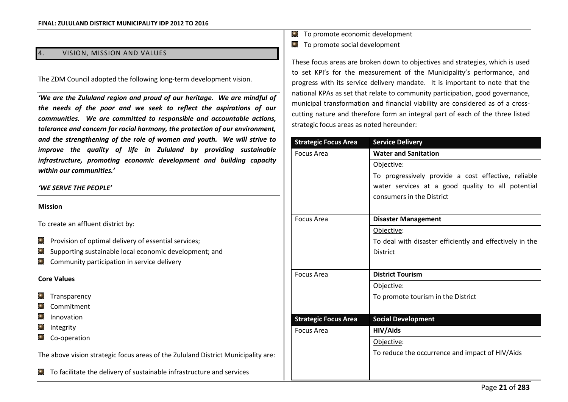### VISION, MISSION AND VALUES

The ZDM Council adopted the following long-term development vision.

'We are the Zululand region and proud of our heritage. We are mindful of *the needs of the poor and we seek to reflect the aspirations of our communities. We are committed to responsible and accountable actions, tolerance and concern for racial harmony, the protection of our environment, and the strengthening of the role of women and youth. We will strive to improve the quality of life in Zululand by providing sustainable infrastructure, promoting economic development and building capacity*  within our communities.'

## 'WE SERVE THE PEOPLE'

### **Mission**

To create an affluent district by:

- $\Box$  Provision of optimal delivery of essential services;
- $\odot$ Supporting sustainable local economic development; and
- $\Box$  Community participation in service delivery

### **Core Values**

- Transparency  $\bullet$
- Commitment
- Innovation
- Integrity  $\bullet$
- C<sub>o</sub>-operation

The above vision strategic focus areas of the Zululand District Municipality are:

To facilitate the delivery of sustainable infrastructure and services

- To promote economic development
- $\bullet$  To promote social development

These focus areas are broken down to objectives and strategies, which is used to set KPI's for the measurement of the Municipality's performance, and progress with its service delivery mandate. It is important to note that the national KPAs as set that relate to community participation, good governance, municipal transformation and financial viability are considered as of a crosscutting nature and therefore form an integral part of each of the three listed strategic focus areas as noted hereunder:

| <b>Strategic Focus Area</b> | <b>Service Delivery</b>                                  |
|-----------------------------|----------------------------------------------------------|
| Focus Area                  | <b>Water and Sanitation</b>                              |
|                             | Objective:                                               |
|                             | To progressively provide a cost effective, reliable      |
|                             | water services at a good quality to all potential        |
|                             | consumers in the District                                |
|                             |                                                          |
| Focus Area                  | <b>Disaster Management</b>                               |
|                             | Objective:                                               |
|                             | To deal with disaster efficiently and effectively in the |
|                             | <b>District</b>                                          |
|                             |                                                          |
| Focus Area                  | <b>District Tourism</b>                                  |
|                             | Objective:                                               |
|                             | To promote tourism in the District                       |
|                             |                                                          |
| <b>Strategic Focus Area</b> | <b>Social Development</b>                                |
| Focus Area                  | HIV/Aids                                                 |
|                             | Objective:                                               |
|                             | To reduce the occurrence and impact of HIV/Aids          |
|                             |                                                          |
|                             |                                                          |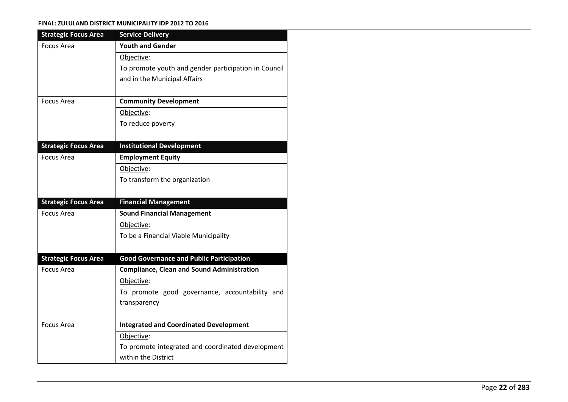| <b>Strategic Focus Area</b> | <b>Service Delivery</b>                                                  |
|-----------------------------|--------------------------------------------------------------------------|
| Focus Area                  | <b>Youth and Gender</b>                                                  |
|                             | Objective:                                                               |
|                             | To promote youth and gender participation in Council                     |
|                             | and in the Municipal Affairs                                             |
|                             |                                                                          |
| Focus Area                  | <b>Community Development</b>                                             |
|                             | Objective:                                                               |
|                             | To reduce poverty                                                        |
|                             |                                                                          |
| <b>Strategic Focus Area</b> | <b>Institutional Development</b>                                         |
| <b>Focus Area</b>           | <b>Employment Equity</b>                                                 |
|                             | Objective:                                                               |
|                             | To transform the organization                                            |
|                             |                                                                          |
| <b>Strategic Focus Area</b> | <b>Financial Management</b>                                              |
| <b>Focus Area</b>           | <b>Sound Financial Management</b>                                        |
|                             | Objective:                                                               |
|                             |                                                                          |
|                             | To be a Financial Viable Municipality                                    |
|                             |                                                                          |
| <b>Strategic Focus Area</b> | <b>Good Governance and Public Participation</b>                          |
| Focus Area                  | <b>Compliance, Clean and Sound Administration</b>                        |
|                             | Objective:                                                               |
|                             | To promote good governance, accountability and                           |
|                             | transparency                                                             |
|                             |                                                                          |
| <b>Focus Area</b>           | <b>Integrated and Coordinated Development</b>                            |
|                             | Objective:                                                               |
|                             | To promote integrated and coordinated development<br>within the District |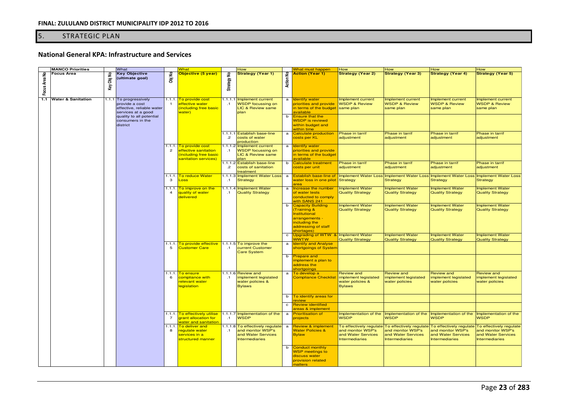# 5. STRATEGIC PLAN

# **National General KPA: Infrastructure and Services**

|               | <b>MANCO Priorities</b>       |            | What                                                                                        |                         | What                                                                                           |                       | How                                                                                           |                  | <b>What must happen</b>                                                                                                           | How                                                                                         | How                                                                                         | How                                                                                         | How                                                                                         |
|---------------|-------------------------------|------------|---------------------------------------------------------------------------------------------|-------------------------|------------------------------------------------------------------------------------------------|-----------------------|-----------------------------------------------------------------------------------------------|------------------|-----------------------------------------------------------------------------------------------------------------------------------|---------------------------------------------------------------------------------------------|---------------------------------------------------------------------------------------------|---------------------------------------------------------------------------------------------|---------------------------------------------------------------------------------------------|
| Focus Area No | <b>Focus Area</b>             | Key Obj No | Key Objective<br>(ultimate goal)                                                            | Obj No                  | Objective (5 year)                                                                             | £<br>Strategy         | <b>Strategy (Year 1)</b>                                                                      | <b>Action No</b> | <b>Action (Year 1)</b>                                                                                                            | <b>Strategy (Year 2)</b>                                                                    | <b>Strategy (Year 3)</b>                                                                    | <b>Strategy (Year 4)</b>                                                                    | <b>Strategy (Year 5)</b>                                                                    |
| 1.1           | <b>Water &amp; Sanitation</b> |            | 1.1.1 To progressively<br>provide a cost<br>effective, reliable water<br>services at a good | - 1                     | 1.1.1. To provide cost<br>effective water<br>including free basic<br>water)                    | $\cdot$ .1            | 1.1.1.1 Implement current<br><b>WSDP</b> focussing on<br><b>LIC &amp; Review same</b><br>plan | a                | <b>Identify water</b><br>priorities and provide<br>in terms of the budget<br>available                                            | Implement current<br><b>WSDP &amp; Review</b><br>same plan                                  | Implement current<br><b>WSDP &amp; Review</b><br>same plan                                  | Implement current<br><b>WSDP &amp; Review</b><br>same plan                                  | Implement current<br><b>WSDP &amp; Review</b><br>same plan                                  |
|               |                               |            | quality to all potential<br>consumers in the<br>district                                    |                         |                                                                                                |                       |                                                                                               |                  | b <b>Ensure that the</b><br><b>WSDP</b> is reviewd<br>within budget and<br>within time                                            |                                                                                             |                                                                                             |                                                                                             |                                                                                             |
|               |                               |            |                                                                                             |                         |                                                                                                | $\cdot$ .2            | 1.1.1.1 Establish base-line<br>costs of water<br>production                                   | $\mathbf{a}$     | Calculate production<br>costs per KL                                                                                              | Phase in tarrif<br>adjustment                                                               | Phase in tarrif<br>adjustment                                                               | Phase in tarrif<br>adjustment                                                               | Phase in tarrif<br>adjustment                                                               |
|               |                               |            |                                                                                             |                         | 1.1.1. To provide cost<br>effective sanitation<br>including free basic<br>sanitation services) | $\cdot$ .1            | 1.1.1.2 Implement current<br><b>WSDP</b> focussing on<br>LIC & Review same<br>plan            | a                | <b>Identify water</b><br>priorities and provide<br>in terms of the budget<br>available                                            |                                                                                             |                                                                                             |                                                                                             |                                                                                             |
|               |                               |            |                                                                                             |                         |                                                                                                | $.2\overline{ }$      | 1.1.1.2 Establish base-line<br>costs of sanitation<br>treatment                               | b                | Calculate treatment<br>costs per unit                                                                                             | Phase in tarrif<br>adjustment                                                               | Phase in tarrif<br>adjustment                                                               | Phase in tarrif<br>adjustment                                                               | Phase in tarrif<br>adjustment                                                               |
|               |                               |            |                                                                                             | $\mathbf{B}$            | 1.1.1. To reduce Water<br>Loss                                                                 | $\cdot$ .1            | 1.1.1.3 Implement Water Loss<br><b>Strategy</b>                                               | $\mathbf{a}$     | Establish base-line of<br>water loss in one pilot<br>area                                                                         | Implement Water Loss Implement Water Loss Implement Water Loss<br>Strategy                  | <b>Strategy</b>                                                                             | <b>Strategy</b>                                                                             | Implement Water Loss<br><b>Strategy</b>                                                     |
|               |                               |            |                                                                                             | 1.1.1<br>$\overline{4}$ | To improve on the<br>quality of water<br>delivered                                             | $\cdot$ 1             | 1.1.1.4 Implement Water<br><b>Quality Strategy</b>                                            | a                | Increase the number<br>of water tests<br>conducted to comply<br>vith SANS 241                                                     | <b>Implement Water</b><br><b>Quality Strategy</b>                                           | <b>Implement Water</b><br><b>Quality Strategy</b>                                           | <b>Implement Water</b><br><b>Quality Strategy</b>                                           | <b>Implement Water</b><br><b>Quality Strategy</b>                                           |
|               |                               |            |                                                                                             |                         |                                                                                                |                       |                                                                                               |                  | b Capacity Building<br>Training &<br><b>Institutional</b><br>arrangements -<br>including the<br>addressing of staff<br>shortages) | <b>Implement Water</b><br><b>Quality Strategy</b>                                           | <b>Implement Water</b><br><b>Quality Strategy</b>                                           | <b>Implement Water</b><br><b>Quality Strategy</b>                                           | <b>Implement Water</b><br><b>Quality Strategy</b>                                           |
|               |                               |            |                                                                                             |                         |                                                                                                |                       |                                                                                               | $\mathbf{c}$     | Upgrading of WTW & Implement Water                                                                                                |                                                                                             | <b>Implement Water</b>                                                                      | <b>Implement Water</b>                                                                      | <b>Implement Water</b>                                                                      |
|               |                               |            |                                                                                             |                         | 1.1.1. To provide effective                                                                    |                       | $1.1.1.5$ To improve the                                                                      | a                | <b>WWTW</b><br><b>Identify and Analyse</b>                                                                                        | <b>Quality Strategy</b>                                                                     | <b>Quality Strategy</b>                                                                     | <b>Quality Strategy</b>                                                                     | <b>Quality Strategy</b>                                                                     |
|               |                               |            |                                                                                             | -5                      | <b>Customer Care</b>                                                                           | .1                    | current Customer<br><b>Care System</b>                                                        |                  | shortgoings of System<br>b <b>Prepare and</b>                                                                                     |                                                                                             |                                                                                             |                                                                                             |                                                                                             |
|               |                               |            |                                                                                             |                         |                                                                                                |                       |                                                                                               |                  | mplement a plan to<br>address the<br>shortgoings                                                                                  |                                                                                             |                                                                                             |                                                                                             |                                                                                             |
|               |                               |            |                                                                                             | 1.1.1.<br>6             | To ensure<br>compliance with<br>elevant water<br><b>legislation</b>                            | $\cdot$ .1            | 1.1.1.6 Review and<br>implement legislated<br>water policies &<br><b>Bylaws</b>               | $\mathbf{a}$     | To develop a<br><b>Compliance Checklist</b>                                                                                       | <b>Review and</b><br>implement legislated<br>water policies &<br><b>Bylaws</b>              | <b>Review and</b><br>implement legislated<br>water policies                                 | <b>Review and</b><br>implement legislated<br>water policies                                 | <b>Review and</b><br>implement legislated<br>water policies                                 |
|               |                               |            |                                                                                             |                         |                                                                                                |                       |                                                                                               |                  | b To identify areas for<br>review                                                                                                 |                                                                                             |                                                                                             |                                                                                             |                                                                                             |
|               |                               |            |                                                                                             |                         |                                                                                                |                       |                                                                                               | $\mathbf{c}$     | <b>Review identified</b><br>areas & implement                                                                                     |                                                                                             |                                                                                             |                                                                                             |                                                                                             |
|               |                               |            |                                                                                             | $\overline{7}$          | 1.1.1. To effectively utilise<br>grant allocation for<br><mark>water and sanitation</mark>     | $\cdot$ .1            | 1.1.1.7 Implementation of the<br><b>WSDP</b>                                                  | $\mathbf{a}$     | <b>Prioritisation of</b><br>projects                                                                                              | Implementation of the<br><b>WSDP</b>                                                        | Implementation of the<br><b>WSDP</b>                                                        | Implementation of the<br><b>WSDP</b>                                                        | Implementation of the<br><b>WSDP</b>                                                        |
|               |                               |            |                                                                                             | 1.1.1.<br>8             | To deliver and<br>regulate water<br>services in a<br>structured manner                         | 1.1.1.8<br>$\cdot$ .1 | To effectively regulate<br>and monitor WSP's<br>and Water Services<br><b>Intermediaries</b>   | $\mathbf{a}$     | <b>Review &amp; implement</b><br><b>Water Policies &amp;</b><br><b>Bylaw</b>                                                      | To effectively regulate<br>and monitor WSP's<br>and Water Services<br><b>Intermediaries</b> | To effectively regulate<br>and monitor WSP's<br>and Water Services<br><b>Intermediaries</b> | To effectively regulate<br>and monitor WSP's<br>and Water Services<br><b>Intermediaries</b> | To effectively regulate<br>and monitor WSP's<br>and Water Services<br><b>Intermediaries</b> |
|               |                               |            |                                                                                             |                         |                                                                                                |                       |                                                                                               | b                | Conduct monthly<br><b>WSP</b> meetings to<br>discuss water<br>provision related<br>matters                                        |                                                                                             |                                                                                             |                                                                                             |                                                                                             |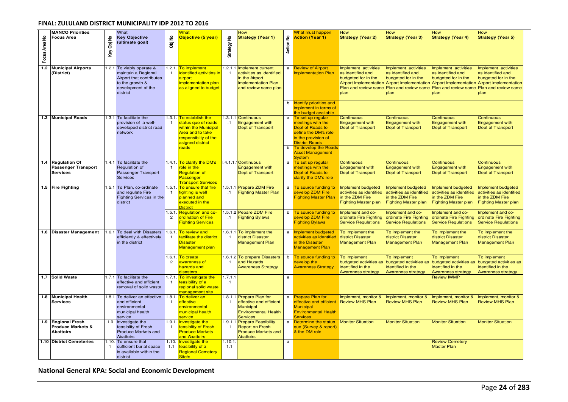|               | <b>MANCO Priorities</b>                                                   |                            | What                                                                                                                              |                | <b>What</b>                                                                                                                            |                       | How                                                                                                            |              | What must happen                                                                                                                   | How                                                                                              | How                                                                                              | How                                                                                                                                                                     | How                                                                                                                   |
|---------------|---------------------------------------------------------------------------|----------------------------|-----------------------------------------------------------------------------------------------------------------------------------|----------------|----------------------------------------------------------------------------------------------------------------------------------------|-----------------------|----------------------------------------------------------------------------------------------------------------|--------------|------------------------------------------------------------------------------------------------------------------------------------|--------------------------------------------------------------------------------------------------|--------------------------------------------------------------------------------------------------|-------------------------------------------------------------------------------------------------------------------------------------------------------------------------|-----------------------------------------------------------------------------------------------------------------------|
| Focus Area No | <b>Focus Area</b>                                                         | £<br>$\overline{g}$<br>Key | <b>Key Objective</b><br>(ultimate goal)                                                                                           | 욷<br>ā         | Objective (5 year)                                                                                                                     | ٤<br>Strategy         | <b>Strategy (Year 1)</b>                                                                                       | 욷<br>Action  | <b>Action (Year 1)</b>                                                                                                             | <b>Strategy (Year 2)</b>                                                                         | <b>Strategy (Year 3)</b>                                                                         | <b>Strategy (Year 4)</b>                                                                                                                                                | <b>Strategy (Year 5)</b>                                                                                              |
| $1.2$         | <b>Municipal Airports</b><br>(District)                                   |                            | 1.2.1 To viably operate &<br>maintain a Regional<br>Airport that contributes<br>to the growth &<br>development of the<br>district |                | 1.2.1. To implement<br>identified activities in<br>airport<br>implementation plan<br>as aligned to budget                              | 1.2.1.1<br>$\cdot$ .1 | Implement current<br>activities as identified<br>in the Airport<br>Implementation Plan<br>and review same plan | a            | <b>Review of Airport</b><br><b>Implementation Plan</b>                                                                             | Implement activities<br>as identified and<br>budgeted for in the<br>Plan and review same<br>plan | Implement activities<br>as identified and<br>budgeted for in the<br>Plan and review same<br>plan | Implement activities<br>as identified and<br>budgeted for in the<br>Airport Implementation Airport Implementation Airport Implementation Airport Implementation<br>plan | Implement activities<br>as identified and<br>budgeted for in the<br>Plan and review same Plan and review same<br>plan |
|               |                                                                           |                            |                                                                                                                                   |                |                                                                                                                                        |                       |                                                                                                                | b            | Identify priorities and<br>mplement in terms of<br>he budget available                                                             |                                                                                                  |                                                                                                  |                                                                                                                                                                         |                                                                                                                       |
|               | 1.3 Municipal Roads                                                       |                            | 1.3.1 To facilitate the<br>provision of a well-<br>developed district road<br>network                                             |                | 1.3.1. To establish the<br>status quo of roads<br>within the Municipal<br>Area and to take<br>responsibilty of the<br>asigned district | .1                    | 1.3.1.1 Continuous<br>Engagement with<br><b>Dept of Transport</b>                                              | a            | To set up regular<br>neetings with the<br>Dept of Roads to<br>define the DM's role<br>in the provision of<br><b>District Roads</b> | Continuous<br><b>Engagement with</b><br><b>Dept of Transport</b>                                 | Continuous<br><b>Engagement with</b><br><b>Dept of Transport</b>                                 | Continuous<br><b>Engagement with</b><br>Dept of Transport                                                                                                               | Continuous<br><b>Engagement with</b><br>Dept of Transport                                                             |
|               |                                                                           |                            |                                                                                                                                   |                | roads                                                                                                                                  |                       |                                                                                                                | b            | To develop the Roads<br><b>Asset Management</b><br>System                                                                          |                                                                                                  |                                                                                                  |                                                                                                                                                                         |                                                                                                                       |
| 1.4           | <b>Regulation Of</b><br><b>Passenger Transport</b><br><b>Services</b>     |                            | 1.4.1 To facilitate the<br>Regulation of<br>Passenger Transport<br><b>Services</b>                                                |                | 1.4.1. To clarify the DM's<br>role in the<br><b>Regulation of</b><br>Passenger<br><b>Transport Services</b>                            |                       | .4.1.1.1 Continuous<br><b>Engagement with</b><br><b>Dept of Transport</b>                                      | a            | To set up regular<br>meetings with the<br>Dept of Roads to<br>clarify the DM's role                                                | Continuous<br><b>Engagement with</b><br>Dept of Transport                                        | Continuous<br><b>Engagement with</b><br>Dept of Transport                                        | Continuous<br><b>Engagement with</b><br>Dept of Transport                                                                                                               | Continuous<br><b>Engagement with</b><br>Dept of Transport                                                             |
|               | 1.5 Fire Fighting                                                         |                            | 1.5.1 To Plan, co-ordinate<br>and regulate Fire<br>Fighting Services in the<br>district                                           | $\mathbf{1}$   | 1.5.1. To ensure that fire<br>fighting is well<br>planned and<br>executed in the<br><b>District</b>                                    | $\cdot$ 1             | 1.5.1.1 Prepare ZDM Fire<br><b>Fighting Master Plan</b>                                                        | a            | To source funding to<br>develop ZDM Fire<br><b>Fighting Master Plan</b>                                                            | Implement budgeted<br>activities as identified<br>in the ZDM Fire<br><b>Fighting Master plan</b> | Implement budgeted<br>activities as identified<br>in the ZDM Fire<br><b>Fighting Master plan</b> | Implement budgeted<br>activities as identified<br>in the ZDM Fire<br><b>Fighting Master plan</b>                                                                        | Implement budgeted<br>activities as identified<br>in the ZDM Fire<br><b>Fighting Master plan</b>                      |
|               |                                                                           |                            |                                                                                                                                   | $\overline{c}$ | 1.5.1. Regulation and co-<br>ordination of Fire<br><b>Fighting Services</b>                                                            | $\cdot$ .1            | 1.5.1.2 Pepare ZDM Fire<br><b>Fighting Bylaws</b>                                                              | b            | To source funding to<br>develop ZDM Fire<br><b>Fighting Bylaws</b>                                                                 | Implement and co-<br>ordinate Fire Fighting<br><b>Service Regulations</b>                        | Implement and co-<br>ordinate Fire Fighting<br><b>Service Regulations</b>                        | Implement and co-<br>ordinate Fire Fighting<br><b>Service Regulations</b>                                                                                               | Implement and co-<br>ordinate Fire Fighting<br><b>Service Regulations</b>                                             |
|               | 1.6 Disaster Management                                                   |                            | 1.6.1 To deal with Disasters<br>efficiently & effectively<br>in the district                                                      |                | 1.6.1. To review and<br>facilitate the district<br><b>Disaster</b><br>Management plan                                                  | $\cdot$ .1            | 1.6.1.1 To implement the<br>district Disaster<br><b>Management Plan</b>                                        |              | Implement budgeted<br>activities as identified<br>in the Disaster<br><b>Management Plan</b>                                        | To implement the<br>district Disaster<br><b>Management Plan</b>                                  | To implement the<br>district Disaster<br><b>Management Plan</b>                                  | To implement the<br>district Disaster<br><b>Management Plan</b>                                                                                                         | To implement the<br>district Disaster<br><b>Management Plan</b>                                                       |
|               |                                                                           |                            |                                                                                                                                   | $\overline{2}$ | 1.6.1. To create<br>awareness of<br>hazards and<br>disasters                                                                           | $\cdot$ 1             | 1.6.1.2 To prepare Disasters<br>and Hazards<br><b>Awareness Strategy</b>                                       | b            | To source funding to<br>develop the<br><b>Awareness Strategy</b>                                                                   | To implement<br>budgeted activities as<br>identified in the<br>Awareness strategy                | To implement<br>budgeted activities as<br>identified in the<br><b>Awareness strategy</b>         | To implement<br>budgeted activities as<br>dentified in the<br>Awareness strategy                                                                                        | To implement<br>budgeted activities as<br>identified in the<br><b>Awareness strategy</b>                              |
|               | 1.7 Solid Waste                                                           |                            | 1.7.1 To facilitate the<br>effective and efficient<br>removal of solid waste                                                      |                | 1.7.1. To investigate the<br>feasibility of a<br>regional solid waste<br>management site                                               | 1.7.1.1<br>.1         |                                                                                                                | $\mathsf{a}$ |                                                                                                                                    |                                                                                                  |                                                                                                  | <b>Review IWMP</b>                                                                                                                                                      |                                                                                                                       |
| 1.8           | <b>Municipal Health</b><br><b>Services</b>                                |                            | 1.8.1 To deliver an effective<br>and efficient<br>environmental<br>municipal health<br>service                                    |                | 1.8.1. To deliver an<br>effective<br>environmental<br>municipal health<br>service                                                      | $\cdot$ 1             | 1.8.1.1 Prepare Plan for<br>effective and efficient<br>Municipal<br><b>Environmental Health</b><br>Services    | a            | <b>Prepare Plan for</b><br>effective and efficient<br><b>Municipal</b><br><b>Environmental Health</b><br><b>Services</b>           | Implement, monitor &<br><b>Review MHS Plan</b>                                                   | Implement, monitor &<br><b>Review MHS Plan</b>                                                   | Implement, monitor &<br><b>Review MHS Plan</b>                                                                                                                          | Implement, monitor &<br><b>Review MHS Plan</b>                                                                        |
| 1.9           | <b>Regional Fresh</b><br><b>Produce Markets &amp;</b><br><b>Abattoirs</b> |                            | 1.9   Investigate the<br>feasiblity of Fresh<br>Produce Markets and<br>Abattoirs                                                  |                | 1.9.1. Investigate the<br>feasiblity of Fresh<br><b>Produce Markets</b><br>and Abattoirs                                               | $\cdot$ 1             | 1.9.1.1 Prepare Feasibility<br><b>Report on Fresh</b><br><b>Produce Markets and</b><br>Abattoirs               | a            | Determine the status<br>quo (Survey & report)<br>& the DM role                                                                     | <b>Monitor Situation</b>                                                                         | <b>Monitor Situation</b>                                                                         | <b>Monitor Situation</b>                                                                                                                                                | <b>Monitor Situation</b>                                                                                              |
|               | 1.10 District Cemeteries                                                  | $\mathbf{1}$               | 1.10. To ensure that<br>sufficient burial space<br>is available within the<br>district                                            | 1.1            | 1.10. Investigate the<br>feasibility of a<br><b>Regional Cemetery</b><br>Site/s                                                        | 1.10.1<br>1.1         |                                                                                                                | $\mathsf{a}$ |                                                                                                                                    |                                                                                                  |                                                                                                  | <b>Review Cemetery</b><br><b>Master Plan</b>                                                                                                                            |                                                                                                                       |

# **National General KPA: Social and Economic Development**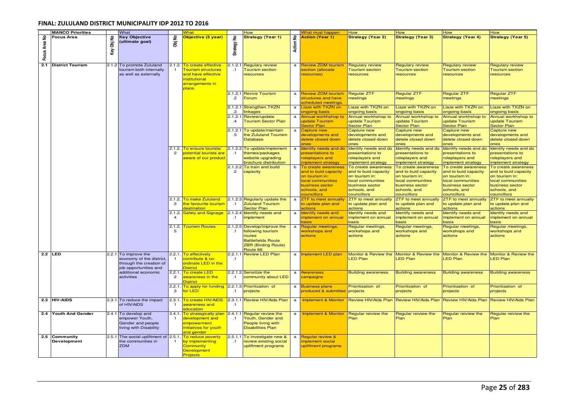|               | <b>MANCO Priorities</b>             |               | What                                                                                                 |                         | What                                                                                                                       |                       | How                                                                                                                               |              | <b>What must happen</b>                                                                                                                   | How                                                                                                                                  | <b>How</b>                                                                                                                           | How                                                                                                                                  | How                                                                                                                                  |
|---------------|-------------------------------------|---------------|------------------------------------------------------------------------------------------------------|-------------------------|----------------------------------------------------------------------------------------------------------------------------|-----------------------|-----------------------------------------------------------------------------------------------------------------------------------|--------------|-------------------------------------------------------------------------------------------------------------------------------------------|--------------------------------------------------------------------------------------------------------------------------------------|--------------------------------------------------------------------------------------------------------------------------------------|--------------------------------------------------------------------------------------------------------------------------------------|--------------------------------------------------------------------------------------------------------------------------------------|
| Focus Area No | Focus Area                          | ۽<br>g<br>Key | <b>Key Objective</b><br>(ultimate goal)                                                              | £<br>ā                  | Objective (5 year)                                                                                                         | £<br>Strategy         | <b>Strategy (Year 1)</b>                                                                                                          | 울<br>Action  | <b>Action (Year 1)</b>                                                                                                                    | <b>Strategy (Year 2)</b>                                                                                                             | <b>Strategy (Year 3)</b>                                                                                                             | <b>Strategy (Year 4)</b>                                                                                                             | <b>Strategy (Year 5)</b>                                                                                                             |
| 2.1           | <b>District Tourism</b>             |               | 2.1.2 To promote Zululand<br>tourism both internally<br>as well as externally                        |                         | 2.1.2. To create effective<br><b>Tourism structures</b><br>and have effective<br>nstitutional<br>arrangements in<br>place. | 2.1.2.1<br>$\cdot$ 1  | <b>Regulary review</b><br><b>Tourism section</b><br>resources                                                                     | $\mathbf a$  | <b>Review ZDM tourism</b><br>section (allocate<br>resources)                                                                              | <b>Regulary review</b><br><b>Tourism section</b><br>resources                                                                        | <b>Regulary review</b><br><b>Tourism section</b><br>resources                                                                        | <b>Regulary review</b><br><b>Tourism section</b><br>resources                                                                        | <b>Regulary review</b><br>Tourism section<br>resources                                                                               |
|               |                                     |               |                                                                                                      |                         |                                                                                                                            | $\cdot$ 2             | 2.1.2.1 Revive Tourism<br>Forum                                                                                                   | $\mathbf{a}$ | <b>Review ZDM tourism</b><br>structures and have<br>cheduled meetings.                                                                    | <b>Regular ZTF</b><br>meetings                                                                                                       | Regular ZTF<br>meetings                                                                                                              | Regular ZTF<br>meetings                                                                                                              | Regular ZTF<br>meetings                                                                                                              |
|               |                                     |               |                                                                                                      |                         |                                                                                                                            | .з                    | 2.1.2.1 Strengthen TKZN<br>nkages                                                                                                 | $\mathbf{a}$ | Liaze with TKZN on<br><b>ngoing basis</b>                                                                                                 | Liaze with TKZN on<br>ongoing basis                                                                                                  | Liaze with TKZN on<br>ongoing basis                                                                                                  | Liaze with TKZN on<br>ongoing basis                                                                                                  | Liaze with TKZN on<br>ongoing basis                                                                                                  |
|               |                                     |               |                                                                                                      |                         |                                                                                                                            | 2.1.2.1<br>$\cdot$ 4  | Review/update<br><b>Tourism Sector Plan</b>                                                                                       | a            | Annual workhshop to<br>update Tourism<br><b>Sector Plan</b>                                                                               | Annual workhshop to<br>update Tourism<br><b>Sector Plan</b>                                                                          | Annual workhshop to<br>update Tourism<br><b>Sector Plan</b>                                                                          | Annual workhshop to<br>update Tourism<br><b>Sector Plan</b>                                                                          | Annual workhshop to<br>update Tourism<br><b>Sector Plan</b>                                                                          |
|               |                                     |               |                                                                                                      |                         |                                                                                                                            | .5                    | 2.1.2.1 To update/maintain<br>the Zululand Tourism<br><b>Database</b>                                                             | a            | Capture new<br>developments and<br>delete closed down<br><b>ones</b>                                                                      | Capture new<br>developments and<br>delete closed down<br>ones                                                                        | Capture new<br>developments and<br>delete closed down<br>ones                                                                        | Capture new<br>developments and<br>delete closed down<br>ones                                                                        | Capture new<br>developments and<br>delete closed down<br>ones                                                                        |
|               |                                     |               |                                                                                                      | $\overline{2}$          | 2.1.2. <mark>To ensure tourists/</mark><br>potential tourists are<br>aware of our product                                  | .1                    | 2.1.2.2 To update/implement<br>themes/packages<br>website upgrading<br>brochure distribution                                      | $\mathbf a$  | Identify needs and do<br>presentations to<br>oleplayers and<br>mplement strategy                                                          | Identify needs and do<br>presentations to<br>roleplayers and<br>mplement strategy                                                    | Identify needs and do<br>presentations to<br>roleplayers and<br>implement strategy                                                   | Identify needs and do<br>presentations to<br>roleplayers and<br>implement strategy                                                   | Identify needs and do<br>presentations to<br>roleplayers and<br>implement strategy                                                   |
|               |                                     |               |                                                                                                      |                         |                                                                                                                            | $\cdot$ .2            | 2.1.2.2 To train and build<br>capacity                                                                                            | b            | To create awareness<br>and to buid capacity<br>on tourism in:<br>ocal communities<br><b>ousiness sector</b><br>schools, and<br>ouncillors | To create awareness<br>and to buid capacity<br>on tourism in:<br>local communities<br>business sector<br>schools, and<br>councillors | To create awareness<br>and to buid capacity<br>on tourism in:<br>local communities<br>business sector<br>schools, and<br>councillors | To create awareness<br>and to buid capacity<br>on tourism in:<br>local communities<br>business sector<br>schools, and<br>councillors | To create awareness<br>and to buid capacity<br>on tourism in:<br>local communities<br>business sector<br>schools, and<br>councillors |
|               |                                     |               |                                                                                                      | -3                      | 2.1.2. <mark>To make Zululand</mark><br>the favourite tourism<br><b>destination</b>                                        | $\cdot$ .1            | 2.1.2.3 Regularly update the<br><b>Zululand Tourism</b><br><b>Sector Plan</b>                                                     | $\mathbf{a}$ | <b>ZTF</b> to meet annually<br>o update plan and<br><b><u>ctions</u></b>                                                                  | ZTF to meet annually<br>to update plan and<br>actions                                                                                | ZTF to meet annually<br>to update plan and<br>actions                                                                                | ZTF to meet annually<br>to update plan and<br>actions                                                                                | ZTF to meet annually<br>to update plan and<br>actions                                                                                |
|               |                                     |               |                                                                                                      | 2.1.2.                  | <b>Safety and Signage</b>                                                                                                  | $\cdot$ 1             | 2.1.2.4 Identify needs and<br>implement                                                                                           | a            | dentify needs and<br>mplement on annual<br>lasis                                                                                          | Identify needs and<br>implement on annual<br>pasis                                                                                   | Identify needs and<br>implement on annual<br>pasis                                                                                   | Identify needs and<br>implement on annual<br>basis                                                                                   | Identify needs and<br>implement on annual<br>basis                                                                                   |
|               |                                     |               |                                                                                                      | 2.1.2.<br>-5            | <b>Tourism Routes</b>                                                                                                      | $\cdot$ 1             | 2.1.2.5 Develop/improve the<br>following tourism<br>routes<br><b>Battlefields Route</b><br><b>ZBR</b> (Birding Route)<br>Route 66 | a            | Regular meetings,<br>workshops and<br>actions                                                                                             | Regular meetings,<br>workshops and<br>actions                                                                                        | Regular meetings,<br>workshops and<br>actions                                                                                        | Regular meetings,<br>workshops and<br>actions                                                                                        | Regular meetings,<br>workshops and<br>actions                                                                                        |
|               | $2.2$ LED                           |               | 2.2.1 To improve the<br>economy of the district.<br>through the creation of<br>job opportunities and | 2.2.1.                  | To effectively<br>contribute & co-<br>ordinate LED in the<br><b>District</b>                                               | $\cdot$ .1            | 2.2.1.1 Review LED Plan                                                                                                           |              | a <b>Implement LED plan</b>                                                                                                               | Monitor & Review the<br><b>LED Plan</b>                                                                                              | Monitor & Review the<br><b>LED Plan</b>                                                                                              | Monitor & Review the<br><b>LED Plan</b>                                                                                              | Monitor & Review the<br><b>LED Plan</b>                                                                                              |
|               |                                     |               | additional economic<br>activities                                                                    | 2.2.1<br>$\overline{2}$ | . <mark>To create LED</mark><br>awareness in the<br><b>District</b>                                                        | $\cdot$ .1            | 2.2.1.2 Sensitize the<br>community about LED                                                                                      | $\mathbf{a}$ | <b>Awareness</b><br>campaigns                                                                                                             | <b>Building awareness</b>                                                                                                            | <b>Building awareness</b>                                                                                                            | <b>Building awareness</b>                                                                                                            | <b>Building awareness</b>                                                                                                            |
|               |                                     |               |                                                                                                      | 2.2.1                   | To apply for funding<br>for LED                                                                                            | $\cdot$ 1             | 2.2.1.3 Prioritization of<br>projects                                                                                             | $\mathbf a$  | <b>Business plans</b><br>produced & submitted                                                                                             | Prioritization of<br>projects                                                                                                        | Prioritization of<br>projects                                                                                                        | Prioritization of<br>projects                                                                                                        | Prioritization of<br>projects                                                                                                        |
|               | 2.3 HIV/AIDS                        |               | 2.3.1 To reduce the impact<br>of HIV/AIDS                                                            | 2.3.1<br>$\overline{1}$ | To create HIV/AIDS<br>awareness and<br>ducation                                                                            | $\cdot$ .1            | 2.3.1.1 Review HIV/Aids Plan                                                                                                      | $\mathbf{a}$ | <b>Implement &amp; Monitor</b>                                                                                                            | Review HIV/Aids Plan                                                                                                                 | Review HIV/Aids Plan                                                                                                                 | <b>Review HIV/Aids Plan</b>                                                                                                          | Review HIV/Aids Plan                                                                                                                 |
|               | 2.4 Youth And Gender                | 2.4.1         | To develop and<br>empower Youth,<br>Gender and people<br>living with Disability                      | 2.4.1<br>$\mathbf{1}$   | . <mark>To strategically plan</mark><br>development and<br>empowerment<br>initiatives for youth<br>and gender              | 2.4.1.1<br>$\cdot$ .1 | Regular review the<br>Youth, Gender and<br>People living with<br><b>Disabilities Plan</b>                                         | a            | <b>Implement &amp; Monitor</b>                                                                                                            | Regular reiview the<br>Plan                                                                                                          | Regular reiview the<br>Plan                                                                                                          | Regular reiview the<br>Plan                                                                                                          | Regular reiview the<br>Plan                                                                                                          |
|               | 2.5 Community<br><b>Development</b> | 2.5.1         | The social upliftment of 2.5.1<br>the communities in<br><b>ZDM</b>                                   |                         | To reduce poverty<br>by implementing<br><b>Community</b><br><b>Development</b><br><b>Projects</b>                          | $\cdot$ 1             | 2.5.1.1 To investigate new &<br>review existing social<br>upliftment programs                                                     | $\mathbf{a}$ | <b>Regular review &amp;</b><br>mplement social<br>upliftment programs                                                                     |                                                                                                                                      |                                                                                                                                      |                                                                                                                                      |                                                                                                                                      |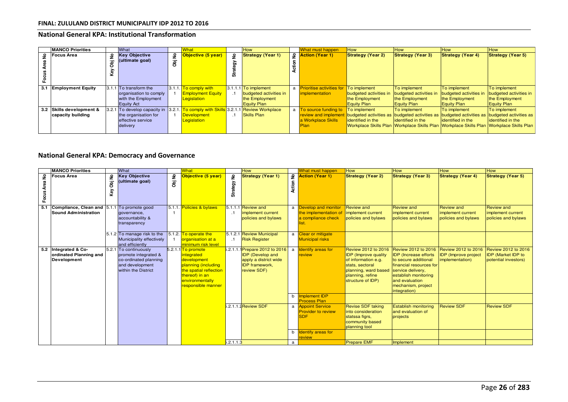## **National General KPA: Institutional Transformation**

| <b>MANCO Priorities</b>  |   | What                                                                               |        | What                     |  | <b>How</b>               | What must happen                                | <b>How</b>             | <b>How</b>                                                                                                       | <b>How</b>               | <b>How</b>               |
|--------------------------|---|------------------------------------------------------------------------------------|--------|--------------------------|--|--------------------------|-------------------------------------------------|------------------------|------------------------------------------------------------------------------------------------------------------|--------------------------|--------------------------|
| $\frac{9}{2}$ Focus Area | ۽ | <b>Key Objective</b><br>(ultimate goal)                                            | £<br>ā | Objective (5 year)<br>۽  |  | <b>Strategy (Year 1)</b> | 오 <mark>Action (Year 1)</mark>                  | Strategy (Year 2)      | <b>Strategy (Year 3)</b>                                                                                         | <b>Strategy (Year 4)</b> | <b>Strategy (Year 5)</b> |
| 3.1 Employment Equity    |   | $3.1.1$ To transform the                                                           |        | 3.1.1. To comply with    |  | $3.1.1.1$ To implement   | a <b>Prioritise activities for To implement</b> |                        | To implement                                                                                                     | To implement             | To implement             |
|                          |   | organisation to comply                                                             |        | <b>Employment Equity</b> |  | budgeted activities in   | <i>implementation</i>                           | budgeted activities in | budgeted activities in                                                                                           | budgeted activities in   | budgeted activities in   |
|                          |   | with the Employment                                                                |        | Legislation              |  | the Employment           |                                                 | the Employment         | the Employment                                                                                                   | the Employment           | the Employment           |
|                          |   | <b>Equity Act</b>                                                                  |        |                          |  | <b>Equity Plan</b>       |                                                 | <b>Equity Plan</b>     | <b>Equity Plan</b>                                                                                               | <b>Equity Plan</b>       | <b>Equity Plan</b>       |
| 3.2 Skills development & |   | 3.2.1 To develop capacity in 3.2.1. To comply with Skills 3.2.1.1 Review Workplace |        |                          |  |                          | a To source funding to                          | <b>To implement</b>    | <b>To implement</b>                                                                                              | To implement             | To implement             |
| capacity building        |   | the organisation for                                                               |        | <b>Development</b>       |  | <b>Skills Plan</b>       |                                                 |                        | review and implement budgeted activities as budgeted activities as budgeted activities as budgeted activities as |                          |                          |
|                          |   | effective service                                                                  |        | Legislation              |  |                          | a Workplace Skills                              | lidentified in the     | lidentified in the                                                                                               | <b>identified</b> in the | identified in the        |
|                          |   | delivery                                                                           |        |                          |  |                          | Plan                                            |                        | Workplace Skills Plan Workplace Skills Plan Workplace Skills Plan Workplace Skills Plan                          |                          |                          |
|                          |   |                                                                                    |        |                          |  |                          |                                                 |                        |                                                                                                                  |                          |                          |

# **National General KPA: Democracy and Governance**

|                    | <b>MANCO Priorities</b>                                                           |               | What                                                                                                             | What<br>How                |                                                                                                                                                                        |                         |                                                                                                                            | <b>What must happen</b>  | <b>How</b>                                                                           | <b>How</b>                                                                                                                                                    | <b>How</b>                                                                                                                                                                                                         | <b>How</b>                                                                   |                                                                                 |
|--------------------|-----------------------------------------------------------------------------------|---------------|------------------------------------------------------------------------------------------------------------------|----------------------------|------------------------------------------------------------------------------------------------------------------------------------------------------------------------|-------------------------|----------------------------------------------------------------------------------------------------------------------------|--------------------------|--------------------------------------------------------------------------------------|---------------------------------------------------------------------------------------------------------------------------------------------------------------|--------------------------------------------------------------------------------------------------------------------------------------------------------------------------------------------------------------------|------------------------------------------------------------------------------|---------------------------------------------------------------------------------|
| £<br>Area<br>Focus | <b>Focus Area</b>                                                                 | £<br>ā<br>Key | <b>Key Objective</b><br>(ultimate goal)                                                                          | £<br>$\overline{\epsilon}$ | Objective (5 year)                                                                                                                                                     | $\tilde{z}$<br>Strategy | <b>Strategy (Year 1)</b>                                                                                                   | $\overline{z}$<br>Action | <b>Action (Year 1)</b>                                                               | <b>Strategy (Year 2)</b>                                                                                                                                      | <b>Strategy (Year 3)</b>                                                                                                                                                                                           | <b>Strategy (Year 4)</b>                                                     | <b>Strategy (Year 5)</b>                                                        |
| 5.1                | <b>Compliance, Clean and 5.1.1</b> To promote good<br><b>Sound Administration</b> |               | governance,<br>accountability &<br>transparency                                                                  |                            | 5.1.1. Policies & bylaws                                                                                                                                               |                         | 5.1.1.1 Review and<br>implement current<br>policies and bylaws                                                             |                          | a <b>Develop and monitor</b><br>the implementation of<br>a compliance check<br>list. | Review and<br>implement current<br>policies and bylaws                                                                                                        | Review and<br>implement current<br>policies and bylaws                                                                                                                                                             | <b>Review and</b><br>implement current<br>policies and bylaws                | <b>Review and</b><br>implement current<br>policies and bylaws                   |
|                    |                                                                                   |               | 5.1.2 To manage risk to the<br>Municipality effectively<br>and efficiently                                       |                            | 5.1.2. To operate the<br>organisation at a<br>minimum risk level                                                                                                       | $\cdot$ 1               | 5.1.2.1 Review Municipal<br><b>Risk Register</b>                                                                           |                          | a Clear or mitigate<br><b>Municipal risks</b>                                        |                                                                                                                                                               |                                                                                                                                                                                                                    |                                                                              |                                                                                 |
|                    | 5.2 Integrated & Co-<br>ordinated Planning and<br><b>Development</b>              |               | 5.2.1 To continuously<br>promote integrated &<br>co-ordinated planning<br>and development<br>within the District |                            | 5.2.1.1 <sup>To</sup> promote<br>integrated<br>development<br>planning (including<br>the spatial reflection<br>thereof) in an<br>environmentally<br>responsible manner |                         | 5.2.1.1.1 Prepare 2012 to 2016<br><b>IDP</b> (Develop and<br>apply a district wide<br><b>IDP</b> framework,<br>review SDF) | a                        | <b>Identify areas for</b><br>review                                                  | Review 2012 to 2016<br><b>IDP</b> (Improve quality<br>of information e.g.<br>stats, sectoral<br>planning, ward based<br>planning, refine<br>structure of IDP) | <b>Review 2012 to 2016</b><br><b>IDP</b> (Increase efforts<br>to secure additional<br>financial resources for<br>service delivery,<br>establish monitoring<br>and evaluation<br>mechanism, project<br>integration) | <b>Review 2012 to 2016</b><br><b>IDP</b> (Improve project<br>implementation) | <b>Review 2012 to 2016</b><br><b>IDP</b> (Market IDP to<br>potential investors) |
|                    |                                                                                   |               |                                                                                                                  |                            |                                                                                                                                                                        |                         |                                                                                                                            | b                        | Implement IDP<br><b>Process Plan</b>                                                 |                                                                                                                                                               |                                                                                                                                                                                                                    |                                                                              |                                                                                 |
|                    |                                                                                   |               |                                                                                                                  |                            |                                                                                                                                                                        |                         | $5.2.1.1.4$ Review SDF.                                                                                                    |                          | a Appoint Service<br><b>Provider to review</b><br><b>SDF</b>                         | <b>Revise SDF taking</b><br>into consideration<br>statssa figrs,<br>community based<br>planning tool                                                          | <b>Establish monitoring</b><br>and evaluation of<br>projects                                                                                                                                                       | <b>Review SDF</b>                                                            | <b>Review SDF</b>                                                               |
|                    |                                                                                   |               |                                                                                                                  |                            |                                                                                                                                                                        |                         |                                                                                                                            |                          | b Identify areas for<br>review                                                       |                                                                                                                                                               |                                                                                                                                                                                                                    |                                                                              |                                                                                 |
|                    |                                                                                   |               |                                                                                                                  |                            |                                                                                                                                                                        | $5.2.1.1.\overline{3}$  |                                                                                                                            | a                        |                                                                                      | <b>Prepare EMF</b>                                                                                                                                            | Implement                                                                                                                                                                                                          |                                                                              |                                                                                 |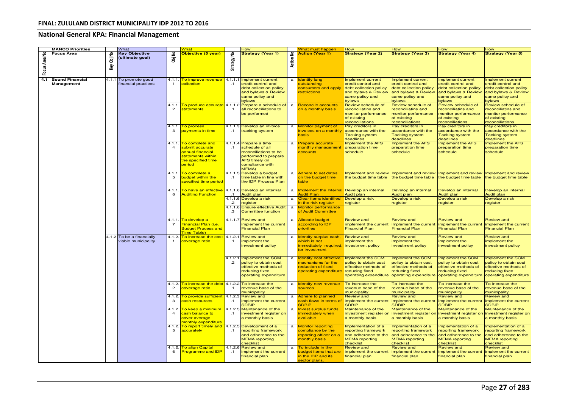# **National General KPA: Financial Management**

|               | <b>MANCO Priorities</b>                     |               | What                                             |                         | What                                                                                                              |                            | How                                                                                                                                            |                                  | Vhat must happen                                                                                                          | How                                                                                                                   | How                                                                                                                         | ⊣ow                                                                                                                          | How                                                                                                                   |
|---------------|---------------------------------------------|---------------|--------------------------------------------------|-------------------------|-------------------------------------------------------------------------------------------------------------------|----------------------------|------------------------------------------------------------------------------------------------------------------------------------------------|----------------------------------|---------------------------------------------------------------------------------------------------------------------------|-----------------------------------------------------------------------------------------------------------------------|-----------------------------------------------------------------------------------------------------------------------------|------------------------------------------------------------------------------------------------------------------------------|-----------------------------------------------------------------------------------------------------------------------|
| Focus Area No | Focus Area                                  | £<br>ā<br>Key | Key Objective<br>(ultimate goal)                 | 울<br>ā                  | Objective (5 year)                                                                                                | £<br>Strategy              | <b>Strategy (Year 1)</b>                                                                                                                       | 울<br>Action                      | <b>Action (Year 1)</b>                                                                                                    | <b>Strategy (Year 2)</b>                                                                                              | <b>Strategy (Year 3)</b>                                                                                                    | <b>Strategy (Year 4)</b>                                                                                                     | <b>Strategy (Year 5)</b>                                                                                              |
| 4.1           | <b>Sound Financial</b><br><b>Management</b> |               | 4.1.1 To promote good<br>financial practices     | 4.1.1.<br>-1            | To improve revenue<br>collection                                                                                  | 4.1.1.1<br>$\cdot$ 1       | Implement current<br>credit control and<br>debt collection policy<br>and bylaws & Review<br>same policy and<br>bylaws                          | $\mathbf{a}$                     | <b>Identify long</b><br>outstanding<br>onsumers and apply<br>estrictions                                                  | Implement current<br>credit control and<br>debt collection policy<br>and bylaws & Review<br>same policy and<br>oylaws | mplement current<br>credit control and<br>debt collection policy<br>and bylaws & Review<br>same policy and<br><b>bylaws</b> | Implement current<br>credit control and<br>debt collection policy<br>and bylaws & Review<br>same policy and<br><b>oylaws</b> | Implement current<br>credit control and<br>debt collection policy<br>and bylaws & Review<br>same policy and<br>bylaws |
|               |                                             |               |                                                  | 4.1.1<br>$\overline{2}$ | <mark>To produce accurate</mark><br>statements                                                                    | $\cdot$ 1                  | 4.1.1.2 Prepare a schedule of a<br>all reconciliations to<br>be performed                                                                      |                                  | <b>Reconcile accounts</b><br>on a monthly basis                                                                           | Review schedule of<br>reconciliatins and<br>monitor performance<br>of existing<br>econciliations                      | Review schedule of<br>econciliatins and<br>monitor performance<br>of existing<br>econciliations                             | Review schedule of<br>reconciliatins and<br>monitor performance<br>of existing<br>reconciliations                            | Review schedule of<br>reconciliatins and<br>monitor performance<br>of existing<br>reconciliations                     |
|               |                                             |               |                                                  | 4.1.1.<br>3             | To process<br><mark>payments in time</mark>                                                                       | $\cdot$ 1                  | 4.1.1.3 Develop an invoice<br>tracking system                                                                                                  | $\mathbf{a}$                     | Monitor payment of<br>nvoices on a monthly<br>asis                                                                        | Pay creditors in<br>accordance with the<br><b>Tacking system</b><br>deadlines                                         | Pay creditors in<br>accordance with the<br><b>Tacking system</b><br>deadlines                                               | Pay creditors in<br>accordance with the<br><b>Tacking system</b><br>deadlines                                                | Pay creditors in<br>accordance with the<br><b>Tacking system</b><br>deadlines                                         |
|               |                                             |               |                                                  | $\overline{4}$          | 4.1.1. To complete and<br>submit accurate<br>annual financial<br>statements within<br>he specified time<br>period | $\cdot$ 1                  | 4.1.1.4 Prepare a time<br>schedule of all<br>econciliations to be<br>performed to prepare<br>AFS timely (in<br>compliance with<br><b>MFMA)</b> | $\mathbf{a}$                     | Prepare accurate<br>nonthly management<br><b>accounts</b>                                                                 | Implement the AFS<br>preparation time<br>schedule                                                                     | <b>Implement the AFS</b><br>preparation time<br>schedule                                                                    | Implement the AFS<br>preparation time<br>schedule                                                                            | Implement the AFS<br>preparation time<br>schedule                                                                     |
|               |                                             |               |                                                  | 4.1.1.<br>5             | To complete a<br>budget within the<br>specified time period                                                       | $\cdot$ 1                  | 4.1.1.5 Develop a budget<br>time table in line with<br>the IDP Process Plan                                                                    | a                                | <b>Adhere to set dates</b><br>on the budget time<br>table                                                                 | Implement and review<br>the budget time table                                                                         | Implement and review<br>the budget time table                                                                               | Implement and review<br>the budget time table                                                                                | Implement and review<br>the budget time table                                                                         |
|               |                                             |               |                                                  | 6                       | 4.1.1. To have an effective<br><b>Auditing Function</b>                                                           | $\cdot$ 1<br>$\mathcal{P}$ | 4.1.1.6 Develop an internal<br>Audit plan<br>4.1.1.6 Develop a risk<br>egister<br>4.1.1.6 Ensure effective Audit                               | $\mathbf{a}$<br>$\mathbf a$<br>a | <b>Implement the Internal</b><br>udit Plan<br><b>Clear items identified</b><br>n the risk register<br>Monitor performance | Develop an internal<br>Audit plan<br>Develop a risk<br><u>register</u>                                                | Develop an internal<br>Audit plan<br>Develop a risk<br>register                                                             | Develop an internal<br>Audit plan<br>Develop a risk<br><b>register</b>                                                       | Develop an internal<br>Audit plan<br>Develop a risk<br><b>register</b>                                                |
|               |                                             |               |                                                  | $\overline{7}$          | 4.1.1. To develop a<br><mark>Financial Plan (i.e.</mark><br><b>Budget Process and</b><br>ime Table)               | .з                         | Committee function<br>4.1.1.7 Review and<br>mplement the current<br><b>Financial Plan</b>                                                      | $\mathbf a$                      | of Audit Committee<br><b>Allocate budget</b><br>according to IDP<br>priorities                                            | <b>Review and</b><br>implement the current<br><b>Financial Plan</b>                                                   | Review and<br>implement the current<br><b>Financial Plan</b>                                                                | <b>Review and</b><br>implement the current<br><b>Financial Plan</b>                                                          | <b>Review and</b><br>implement the current<br><b>Financial Plan</b>                                                   |
|               |                                             |               | 4.1.2 To be a financially<br>viable municipality | $\mathbf{1}$            | 4.1.2. To increase the cost<br>coverage ratio                                                                     | $\cdot$ 1                  | 4.1.2.1 Review and<br>implement the<br>investment policy                                                                                       | $\mathbf{a}$                     | Identify surplus cash,<br>which is not<br>immediately required<br>for investment                                          | <b>Review and</b><br>implement the<br>investment policy                                                               | <b>Review and</b><br>implement the<br>investment policy                                                                     | <b>Review and</b><br>implement the<br>investment policy                                                                      | <b>Review and</b><br>implement the<br>investment policy                                                               |
|               |                                             |               |                                                  |                         |                                                                                                                   | $\cdot$ .2                 | 4.1.2.1 Implement the SCM<br>policy to obtain cost<br>effective methods of<br>reducing fixed<br>operating expenditure                          | $\mathbf{a}$                     | <b>Identify cost effective</b><br>mechanisms for the<br>reduction of fixed<br>operating expenditure                       | Implement the SCM<br>policy to obtain cost<br>effective methods of<br>reducing fixed<br>operating expenditure         | mplement the SCM<br>policy to obtain cost<br>effective methods of<br>reducing fixed<br>operating expenditure                | Implement the SCM<br>policy to obtain cost<br>effective methods of<br>reducing fixed<br>operating expenditure                | Implement the SCM<br>policy to obtain cost<br>effective methods of<br>reducing fixed<br>operating expenditure         |
|               |                                             |               |                                                  | $\mathbf{2}$            | 4.1.2. To increase the debt<br>coverage ratio                                                                     | $\cdot$ 1                  | 4.1.2.2 To Increase the<br>revenue base of the<br>municipality                                                                                 | $\mathbf{a}$                     | <b>Identify new revenue</b><br><b>ources</b>                                                                              | To Increase the<br>revenue base of the<br>municipality                                                                | To Increase the<br>revenue base of the<br>municipality                                                                      | To Increase the<br>revenue base of the<br>municipality                                                                       | To Increase the<br>revenue base of the<br>municipality                                                                |
|               |                                             |               |                                                  | 4.1.2.                  | To provide sufficient<br>cash resources                                                                           | 4.1.2.3<br>$\cdot$ 1       | <b>Review and</b><br>mplement the current<br><b>SDBIP</b>                                                                                      | $\mathbf{a}$                     | <b>Adhere to planned</b><br>ash flows in terms of<br><b>SDBIP</b>                                                         | <b>Review and</b><br>implement the current<br><b>SDBIP</b>                                                            | <b>Review and</b><br>implement the current<br><b>SDBIP</b>                                                                  | <b>Review and</b><br>implement the current<br><b>SDBIP</b>                                                                   | <b>Review and</b><br>implement the current<br><b>SDBIP</b>                                                            |
|               |                                             |               |                                                  | 4.1.2.                  | To keep a minimum<br>cash balance to<br>pover average<br>nonthly expenditure                                      | $\cdot$ 1                  | 4.1.2.5 Maintenance of the<br>investment register on<br>a monthly basis                                                                        | $\mathbf{a}$                     | <b>Invest surplus funds</b><br>mmediately when<br>available                                                               | Maintenance of the<br>investment register on<br>a monthly basis                                                       | Maintenance of the<br>investment register or<br>a monthly basis                                                             | Maintenance of the<br>investment register or<br>a monthly basis                                                              | Maintenance of the<br>investment register on<br>a monthly basis                                                       |
|               |                                             |               |                                                  | 5                       | 4.1.2. To report timely and<br>accurately                                                                         | .1                         | 4.1.2.5 Development of a<br>reporting framework<br>and adherence to the<br><b>MFMA</b> reporting<br>checklist                                  | $\mathbf{a}$                     | <b>Monitor reporting</b><br>compliance by the<br>eporting officer on a<br>monthly basis                                   | Implementation of a<br>reporting framework<br>and adherence to the<br><b>MFMA</b> reporting<br>checklist              | Implementation of a<br>reporting framework<br>and adherence to the<br><b>MFMA</b> reporting<br>checklist                    | Implementation of a<br>reporting framework<br>and adherence to the<br><b>MFMA</b> reporting<br>checklist                     | Implementation of a<br>reporting framework<br>and adherence to the<br><b>MFMA</b> reporting<br>checklist              |
|               |                                             |               |                                                  | 4.1.2.<br>6             | <b>To align Capital</b><br><b>Programme and IDP</b>                                                               | $\cdot$ .1                 | 4.1.2.6 Review and<br>implement the current<br>financial plan                                                                                  | $\mathbf{a}$                     | To include in the<br>oudget items that are<br>in the IDP and its<br>sector plans.                                         | Review and<br>implement the current<br>financial plan                                                                 | Review and<br>implement the current<br>financial plan                                                                       | <b>Review and</b><br>implement the current<br>financial plan                                                                 | <b>Review and</b><br>implement the current<br>financial plan                                                          |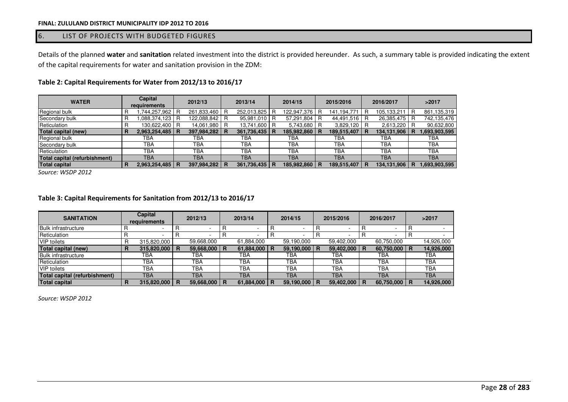### 6. LIST OF PROJECTS WITH BUDGETED FIGURES

Details of the planned **water** and **sanitation** related investment into the district is provided hereunder. As such, a summary table is provided indicating the extent of the capital requirements for water and sanitation provision in the ZDM:

| <b>WATER</b>                  | Capital<br>requirements |               |   | 2012/13       |     | 2013/14       |   | 2014/15       | 2015/2016       | 2016/2017   |     | >2017         |
|-------------------------------|-------------------------|---------------|---|---------------|-----|---------------|---|---------------|-----------------|-------------|-----|---------------|
| Regional bulk                 |                         | .744,257,962  |   | 261,833,460   | I B | 252,013,825   | R | 122,947,376 R | 141,194,771 R   | 105,133,211 | R   | 861,135,319   |
| Secondary bulk                |                         | .088.374.123  | R | 122,088,842   |     | 95,981,010 R  |   | 57,291,804 R  | 44,491,516 R    | 26,385,475  | R   | 742,135,476   |
| Reticulation                  |                         | 130,622,400   | R | 14,061,980    | I B | 13,741,600 R  |   | 5,743,680 R   | 3,829,120 R     | 2,613,220   | I R | 90,632,800    |
| <b>Total capital (new)</b>    |                         | 2,963,254,485 |   | 397,984,282 R |     | 361,736,435 R |   | 185,982,860 R | 189,515,407 R   | 134,131,906 |     | 1,693,903,595 |
| Regional bulk                 |                         | TBA           |   | ТВА           |     | TBA           |   | ТВА           | TBA             | ТВА         |     | TBA           |
| Secondary bulk                |                         | <b>TBA</b>    |   | <b>TBA</b>    |     | TBA           |   | <b>TBA</b>    | <b>TBA</b>      | ТВА         |     | <b>TBA</b>    |
| Reticulation                  |                         | ТВА           |   | TBA           |     | TBA           |   | ТВА           | TBA             | <b>TBA</b>  |     | <b>TBA</b>    |
| Total capital (refurbishment) |                         | TBA           |   | TBA           |     | <b>TBA</b>    |   | <b>TBA</b>    | <b>TBA</b>      | <b>TBA</b>  |     | <b>TBA</b>    |
| <b>Total capital</b>          |                         | 2,963,254,485 | R | 397,984,282 R |     | 361,736,435 R |   | 185,982,860 R | 189,515,407   R | 134,131,906 | R   | 1,693,903,595 |

# **Table 2: Capital Requirements for Water from 2012/13 to 2016/17**

*Source: WSDP 2012*

#### **Table 3: Capital Requirements for Sanitation from 2012/13 to 2016/17**

| <b>SANITATION</b>             | Capital<br>requirements |             |   | 2012/13        | 2013/14 |            |  | 2014/15    |    | 2015/2016  |    | 2016/2017        | >2017 |            |
|-------------------------------|-------------------------|-------------|---|----------------|---------|------------|--|------------|----|------------|----|------------------|-------|------------|
| <b>Bulk infrastructure</b>    |                         |             |   |                |         |            |  |            |    |            |    |                  |       |            |
| Reticulation                  |                         |             |   |                |         |            |  |            |    |            |    | -                |       |            |
| <b>VIP</b> toilets            |                         | 315,820,000 |   | 59,668,000     |         | 61.884.000 |  | 59,190,000 |    | 59,402,000 |    | 60,750,000       |       | 14.926.000 |
| Total capital (new)           | n                       | 315,820,000 | R | 59,668,000   R |         | 61,884,000 |  | 59,190,000 | -R | 59,402,000 | -R | $60,750,000$   R |       | 14,926,000 |
| <b>Bulk infrastructure</b>    |                         | TBA         |   | TBA            |         | TBA        |  | TBA        |    | TBA        |    | TBA              |       | TBA        |
| Reticulation                  |                         | <b>TBA</b>  |   | ТВА            |         | TBA        |  | TBA        |    | TBA        |    | <b>TBA</b>       |       | TBA        |
| <b>VIP</b> toilets            |                         | <b>TBA</b>  |   | TBA            |         | TBA        |  | <b>TBA</b> |    | TBA        |    | <b>TBA</b>       |       | TBA        |
| Total capital (refurbishment) |                         | <b>TBA</b>  |   | TBA            |         | TBA        |  | TBA        |    | <b>TBA</b> |    | <b>TBA</b>       |       | <b>TBA</b> |
| <b>Total capital</b>          |                         | 315,820,000 | R | 59,668,000     | I R     | 61,884,000 |  | 59,190,000 |    | 59,402,000 | B  | 60,750,000 R     |       | 14,926,000 |

*Source: WSDP 2012*